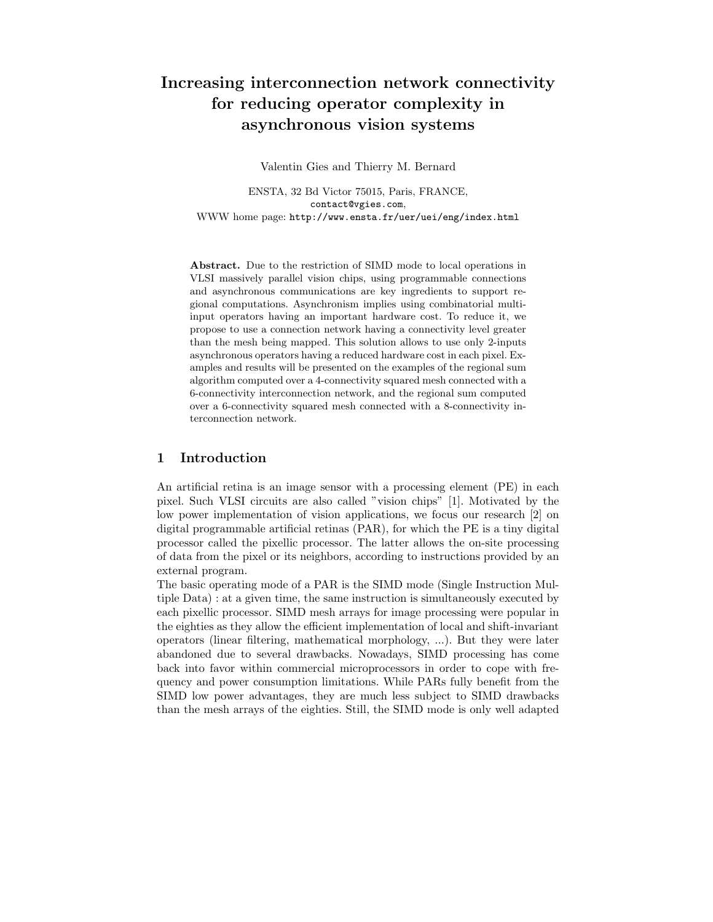# Increasing interconnection network connectivity for reducing operator complexity in asynchronous vision systems

Valentin Gies and Thierry M. Bernard

ENSTA, 32 Bd Victor 75015, Paris, FRANCE, contact@vgies.com, WWW home page: http://www.ensta.fr/uer/uei/eng/index.html

Abstract. Due to the restriction of SIMD mode to local operations in VLSI massively parallel vision chips, using programmable connections and asynchronous communications are key ingredients to support regional computations. Asynchronism implies using combinatorial multiinput operators having an important hardware cost. To reduce it, we propose to use a connection network having a connectivity level greater than the mesh being mapped. This solution allows to use only 2-inputs asynchronous operators having a reduced hardware cost in each pixel. Examples and results will be presented on the examples of the regional sum algorithm computed over a 4-connectivity squared mesh connected with a 6-connectivity interconnection network, and the regional sum computed over a 6-connectivity squared mesh connected with a 8-connectivity interconnection network.

# 1 Introduction

An artificial retina is an image sensor with a processing element (PE) in each pixel. Such VLSI circuits are also called "vision chips" [1]. Motivated by the low power implementation of vision applications, we focus our research [2] on digital programmable artificial retinas (PAR), for which the PE is a tiny digital processor called the pixellic processor. The latter allows the on-site processing of data from the pixel or its neighbors, according to instructions provided by an external program.

The basic operating mode of a PAR is the SIMD mode (Single Instruction Multiple Data) : at a given time, the same instruction is simultaneously executed by each pixellic processor. SIMD mesh arrays for image processing were popular in the eighties as they allow the efficient implementation of local and shift-invariant operators (linear filtering, mathematical morphology, ...). But they were later abandoned due to several drawbacks. Nowadays, SIMD processing has come back into favor within commercial microprocessors in order to cope with frequency and power consumption limitations. While PARs fully benefit from the SIMD low power advantages, they are much less subject to SIMD drawbacks than the mesh arrays of the eighties. Still, the SIMD mode is only well adapted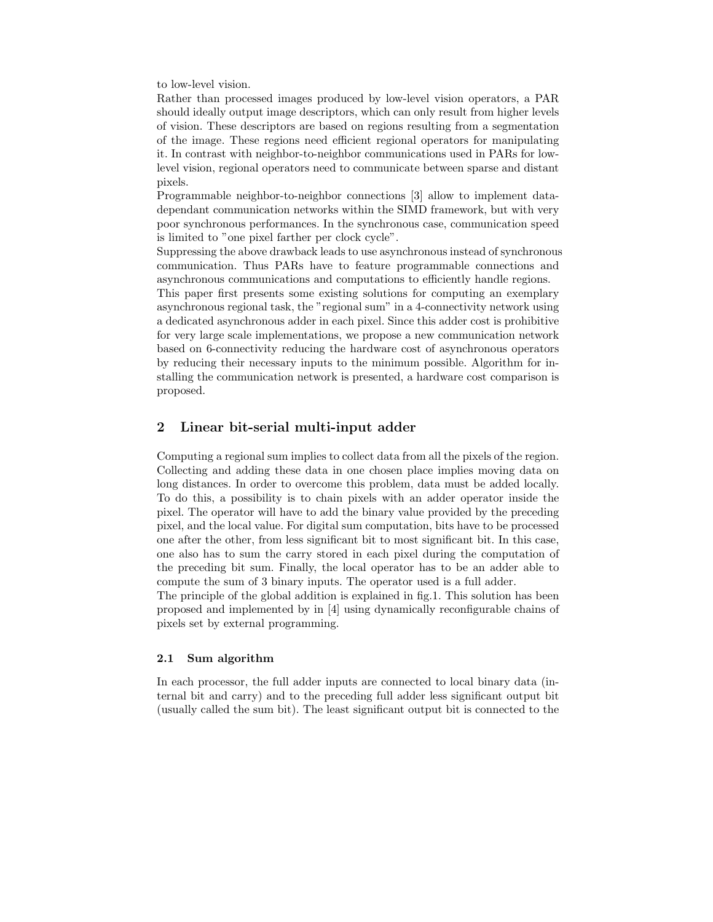to low-level vision.

Rather than processed images produced by low-level vision operators, a PAR should ideally output image descriptors, which can only result from higher levels of vision. These descriptors are based on regions resulting from a segmentation of the image. These regions need efficient regional operators for manipulating it. In contrast with neighbor-to-neighbor communications used in PARs for lowlevel vision, regional operators need to communicate between sparse and distant pixels.

Programmable neighbor-to-neighbor connections [3] allow to implement datadependant communication networks within the SIMD framework, but with very poor synchronous performances. In the synchronous case, communication speed is limited to "one pixel farther per clock cycle".

Suppressing the above drawback leads to use asynchronous instead of synchronous communication. Thus PARs have to feature programmable connections and asynchronous communications and computations to efficiently handle regions.

This paper first presents some existing solutions for computing an exemplary asynchronous regional task, the "regional sum" in a 4-connectivity network using a dedicated asynchronous adder in each pixel. Since this adder cost is prohibitive for very large scale implementations, we propose a new communication network based on 6-connectivity reducing the hardware cost of asynchronous operators by reducing their necessary inputs to the minimum possible. Algorithm for installing the communication network is presented, a hardware cost comparison is proposed.

## 2 Linear bit-serial multi-input adder

Computing a regional sum implies to collect data from all the pixels of the region. Collecting and adding these data in one chosen place implies moving data on long distances. In order to overcome this problem, data must be added locally. To do this, a possibility is to chain pixels with an adder operator inside the pixel. The operator will have to add the binary value provided by the preceding pixel, and the local value. For digital sum computation, bits have to be processed one after the other, from less significant bit to most significant bit. In this case, one also has to sum the carry stored in each pixel during the computation of the preceding bit sum. Finally, the local operator has to be an adder able to compute the sum of 3 binary inputs. The operator used is a full adder.

The principle of the global addition is explained in fig.1. This solution has been proposed and implemented by in [4] using dynamically reconfigurable chains of pixels set by external programming.

# 2.1 Sum algorithm

In each processor, the full adder inputs are connected to local binary data (internal bit and carry) and to the preceding full adder less significant output bit (usually called the sum bit). The least significant output bit is connected to the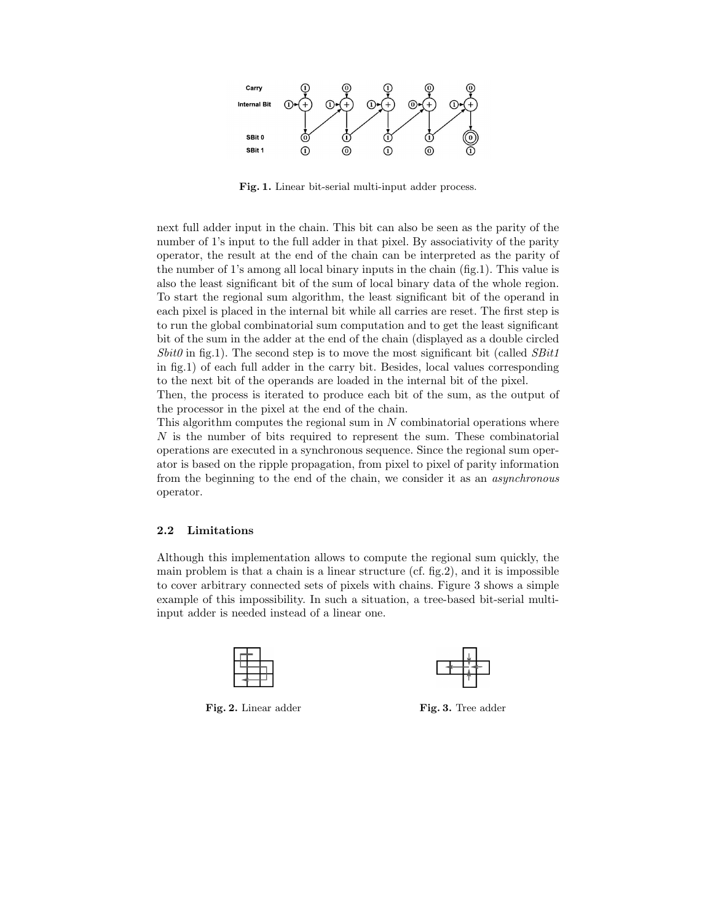

Fig. 1. Linear bit-serial multi-input adder process.

next full adder input in the chain. This bit can also be seen as the parity of the number of 1's input to the full adder in that pixel. By associativity of the parity operator, the result at the end of the chain can be interpreted as the parity of the number of 1's among all local binary inputs in the chain (fig.1). This value is also the least significant bit of the sum of local binary data of the whole region. To start the regional sum algorithm, the least significant bit of the operand in each pixel is placed in the internal bit while all carries are reset. The first step is to run the global combinatorial sum computation and to get the least significant bit of the sum in the adder at the end of the chain (displayed as a double circled  $Sbit0$  in fig.1). The second step is to move the most significant bit (called  $SBit1$ in fig.1) of each full adder in the carry bit. Besides, local values corresponding to the next bit of the operands are loaded in the internal bit of the pixel.

Then, the process is iterated to produce each bit of the sum, as the output of the processor in the pixel at the end of the chain.

This algorithm computes the regional sum in  $N$  combinatorial operations where  $N$  is the number of bits required to represent the sum. These combinatorial operations are executed in a synchronous sequence. Since the regional sum operator is based on the ripple propagation, from pixel to pixel of parity information from the beginning to the end of the chain, we consider it as an asynchronous operator.

#### 2.2 Limitations

Although this implementation allows to compute the regional sum quickly, the main problem is that a chain is a linear structure (cf. fig.2), and it is impossible to cover arbitrary connected sets of pixels with chains. Figure 3 shows a simple example of this impossibility. In such a situation, a tree-based bit-serial multiinput adder is needed instead of a linear one.





Fig. 2. Linear adder Fig. 3. Tree adder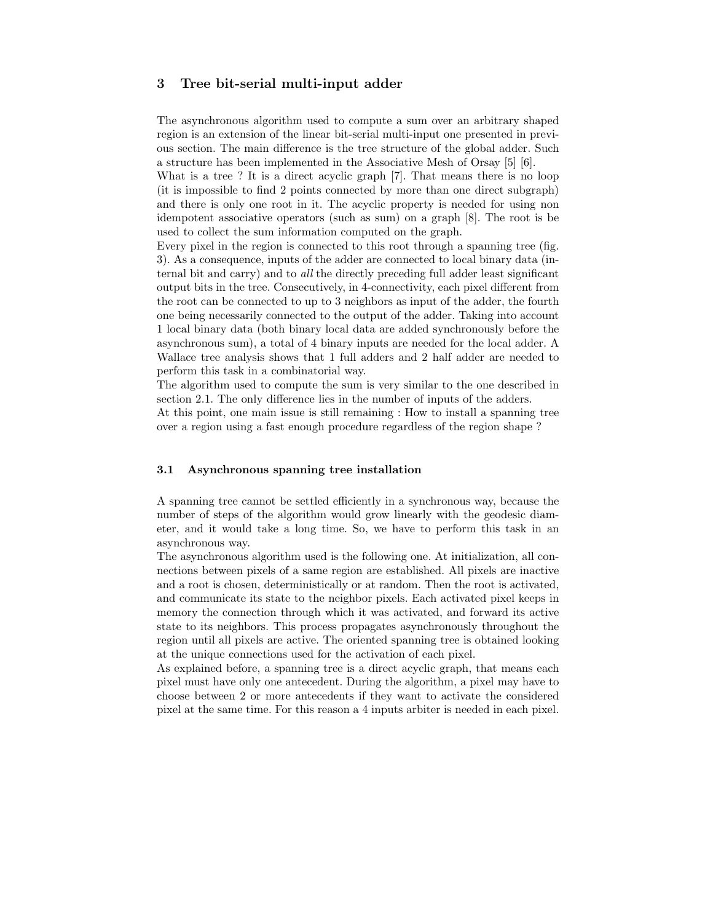# 3 Tree bit-serial multi-input adder

The asynchronous algorithm used to compute a sum over an arbitrary shaped region is an extension of the linear bit-serial multi-input one presented in previous section. The main difference is the tree structure of the global adder. Such a structure has been implemented in the Associative Mesh of Orsay [5] [6].

What is a tree ? It is a direct acyclic graph [7]. That means there is no loop (it is impossible to find 2 points connected by more than one direct subgraph) and there is only one root in it. The acyclic property is needed for using non idempotent associative operators (such as sum) on a graph [8]. The root is be used to collect the sum information computed on the graph.

Every pixel in the region is connected to this root through a spanning tree (fig. 3). As a consequence, inputs of the adder are connected to local binary data (internal bit and carry) and to all the directly preceding full adder least significant output bits in the tree. Consecutively, in 4-connectivity, each pixel different from the root can be connected to up to 3 neighbors as input of the adder, the fourth one being necessarily connected to the output of the adder. Taking into account 1 local binary data (both binary local data are added synchronously before the asynchronous sum), a total of 4 binary inputs are needed for the local adder. A Wallace tree analysis shows that 1 full adders and 2 half adder are needed to perform this task in a combinatorial way.

The algorithm used to compute the sum is very similar to the one described in section 2.1. The only difference lies in the number of inputs of the adders.

At this point, one main issue is still remaining : How to install a spanning tree over a region using a fast enough procedure regardless of the region shape ?

#### 3.1 Asynchronous spanning tree installation

A spanning tree cannot be settled efficiently in a synchronous way, because the number of steps of the algorithm would grow linearly with the geodesic diameter, and it would take a long time. So, we have to perform this task in an asynchronous way.

The asynchronous algorithm used is the following one. At initialization, all connections between pixels of a same region are established. All pixels are inactive and a root is chosen, deterministically or at random. Then the root is activated, and communicate its state to the neighbor pixels. Each activated pixel keeps in memory the connection through which it was activated, and forward its active state to its neighbors. This process propagates asynchronously throughout the region until all pixels are active. The oriented spanning tree is obtained looking at the unique connections used for the activation of each pixel.

As explained before, a spanning tree is a direct acyclic graph, that means each pixel must have only one antecedent. During the algorithm, a pixel may have to choose between 2 or more antecedents if they want to activate the considered pixel at the same time. For this reason a 4 inputs arbiter is needed in each pixel.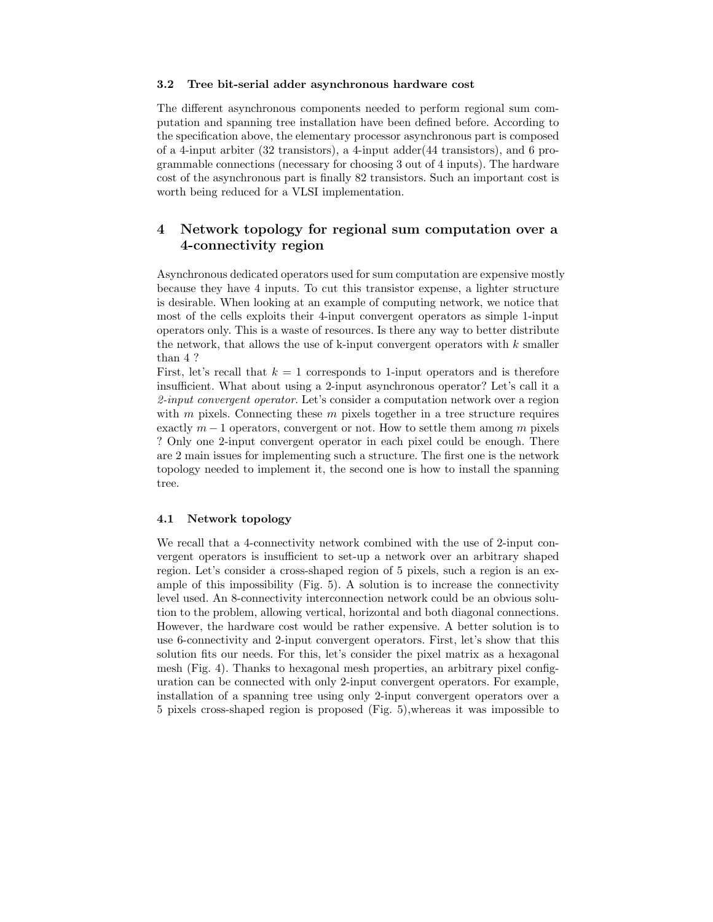#### 3.2 Tree bit-serial adder asynchronous hardware cost

The different asynchronous components needed to perform regional sum computation and spanning tree installation have been defined before. According to the specification above, the elementary processor asynchronous part is composed of a 4-input arbiter (32 transistors), a 4-input adder(44 transistors), and 6 programmable connections (necessary for choosing 3 out of 4 inputs). The hardware cost of the asynchronous part is finally 82 transistors. Such an important cost is worth being reduced for a VLSI implementation.

# 4 Network topology for regional sum computation over a 4-connectivity region

Asynchronous dedicated operators used for sum computation are expensive mostly because they have 4 inputs. To cut this transistor expense, a lighter structure is desirable. When looking at an example of computing network, we notice that most of the cells exploits their 4-input convergent operators as simple 1-input operators only. This is a waste of resources. Is there any way to better distribute the network, that allows the use of k-input convergent operators with  $k$  smaller than 4 ?

First, let's recall that  $k = 1$  corresponds to 1-input operators and is therefore insufficient. What about using a 2-input asynchronous operator? Let's call it a 2-input convergent operator. Let's consider a computation network over a region with  $m$  pixels. Connecting these  $m$  pixels together in a tree structure requires exactly  $m-1$  operators, convergent or not. How to settle them among m pixels ? Only one 2-input convergent operator in each pixel could be enough. There are 2 main issues for implementing such a structure. The first one is the network topology needed to implement it, the second one is how to install the spanning tree.

#### 4.1 Network topology

We recall that a 4-connectivity network combined with the use of 2-input convergent operators is insufficient to set-up a network over an arbitrary shaped region. Let's consider a cross-shaped region of 5 pixels, such a region is an example of this impossibility (Fig. 5). A solution is to increase the connectivity level used. An 8-connectivity interconnection network could be an obvious solution to the problem, allowing vertical, horizontal and both diagonal connections. However, the hardware cost would be rather expensive. A better solution is to use 6-connectivity and 2-input convergent operators. First, let's show that this solution fits our needs. For this, let's consider the pixel matrix as a hexagonal mesh (Fig. 4). Thanks to hexagonal mesh properties, an arbitrary pixel configuration can be connected with only 2-input convergent operators. For example, installation of a spanning tree using only 2-input convergent operators over a 5 pixels cross-shaped region is proposed (Fig. 5),whereas it was impossible to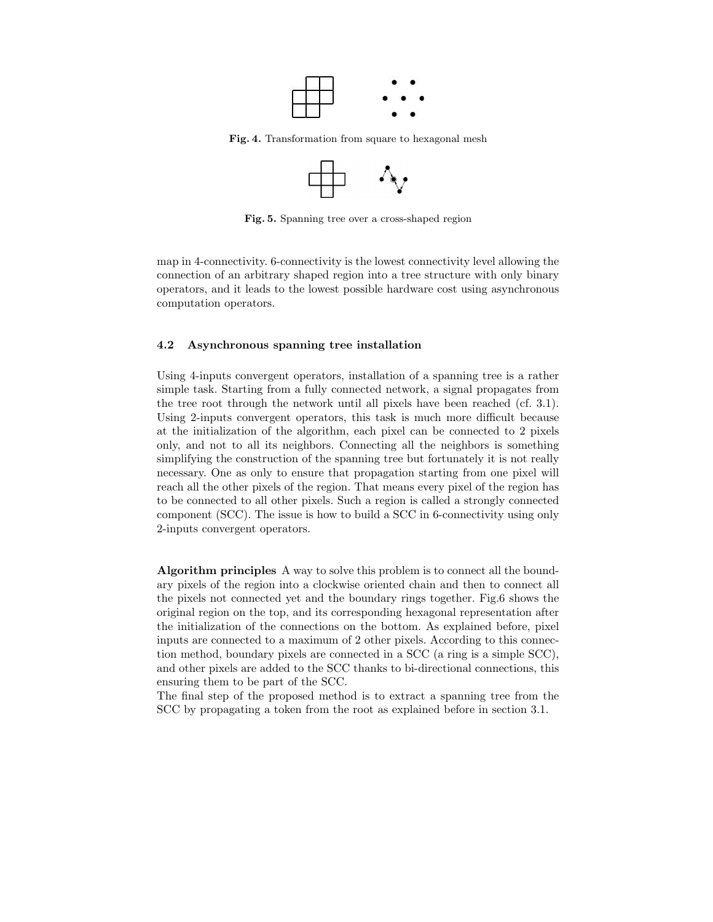

Fig. 4. Transformation from square to hexagonal mesh



Fig. 5. Spanning tree over a cross-shaped region

map in 4-connectivity. 6-connectivity is the lowest connectivity level allowing the connection of an arbitrary shaped region into a tree structure with only binary operators, and it leads to the lowest possible hardware cost using asynchronous computation operators.

#### 4.2 Asynchronous spanning tree installation

Using 4-inputs convergent operators, installation of a spanning tree is a rather simple task. Starting from a fully connected network, a signal propagates from the tree root through the network until all pixels have been reached (cf. 3.1). Using 2-inputs convergent operators, this task is much more difficult because at the initialization of the algorithm, each pixel can be connected to 2 pixels only, and not to all its neighbors. Connecting all the neighbors is something simplifying the construction of the spanning tree but fortunately it is not really necessary. One as only to ensure that propagation starting from one pixel will reach all the other pixels of the region. That means every pixel of the region has to be connected to all other pixels. Such a region is called a strongly connected component (SCC). The issue is how to build a SCC in 6-connectivity using only 2-inputs convergent operators.

Algorithm principles A way to solve this problem is to connect all the boundary pixels of the region into a clockwise oriented chain and then to connect all the pixels not connected yet and the boundary rings together. Fig.6 shows the original region on the top, and its corresponding hexagonal representation after the initialization of the connections on the bottom. As explained before, pixel inputs are connected to a maximum of 2 other pixels. According to this connection method, boundary pixels are connected in a SCC (a ring is a simple SCC), and other pixels are added to the SCC thanks to bi-directional connections, this ensuring them to be part of the SCC.

The final step of the proposed method is to extract a spanning tree from the SCC by propagating a token from the root as explained before in section 3.1.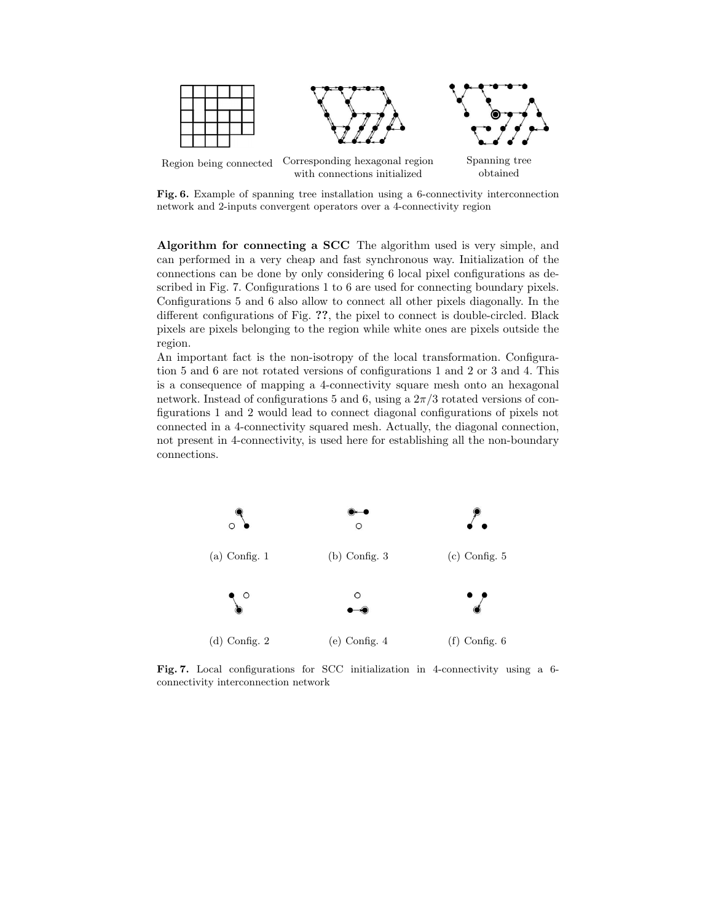

Fig. 6. Example of spanning tree installation using a 6-connectivity interconnection network and 2-inputs convergent operators over a 4-connectivity region

Algorithm for connecting a SCC The algorithm used is very simple, and can performed in a very cheap and fast synchronous way. Initialization of the connections can be done by only considering 6 local pixel configurations as described in Fig. 7. Configurations 1 to 6 are used for connecting boundary pixels. Configurations 5 and 6 also allow to connect all other pixels diagonally. In the different configurations of Fig. ??, the pixel to connect is double-circled. Black pixels are pixels belonging to the region while white ones are pixels outside the region.

An important fact is the non-isotropy of the local transformation. Configuration 5 and 6 are not rotated versions of configurations 1 and 2 or 3 and 4. This is a consequence of mapping a 4-connectivity square mesh onto an hexagonal network. Instead of configurations 5 and 6, using a  $2\pi/3$  rotated versions of configurations 1 and 2 would lead to connect diagonal configurations of pixels not connected in a 4-connectivity squared mesh. Actually, the diagonal connection, not present in 4-connectivity, is used here for establishing all the non-boundary connections.



Fig. 7. Local configurations for SCC initialization in 4-connectivity using a 6 connectivity interconnection network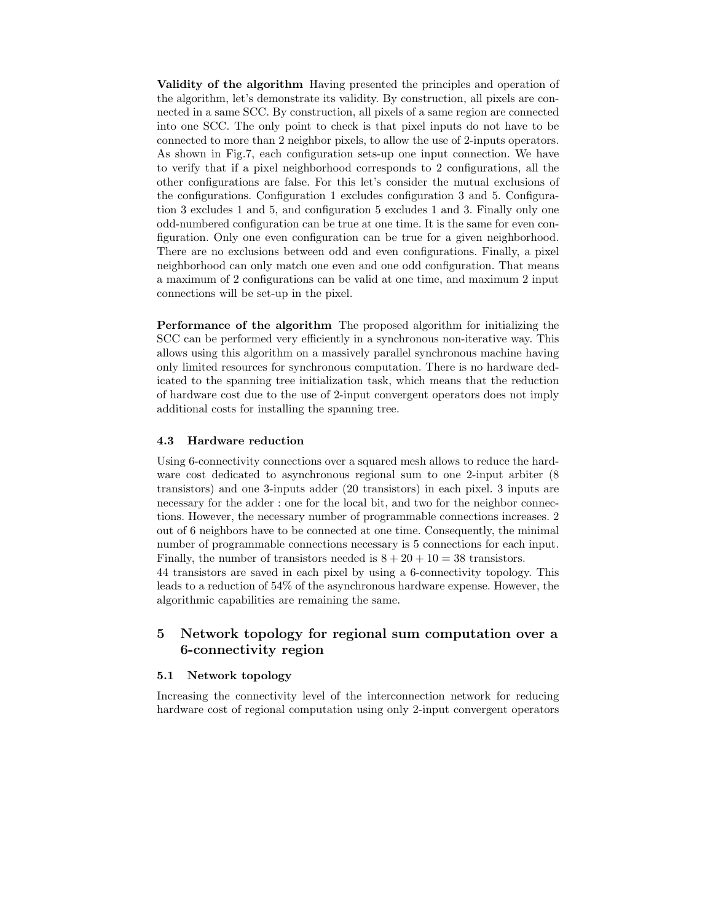Validity of the algorithm Having presented the principles and operation of the algorithm, let's demonstrate its validity. By construction, all pixels are connected in a same SCC. By construction, all pixels of a same region are connected into one SCC. The only point to check is that pixel inputs do not have to be connected to more than 2 neighbor pixels, to allow the use of 2-inputs operators. As shown in Fig.7, each configuration sets-up one input connection. We have to verify that if a pixel neighborhood corresponds to 2 configurations, all the other configurations are false. For this let's consider the mutual exclusions of the configurations. Configuration 1 excludes configuration 3 and 5. Configuration 3 excludes 1 and 5, and configuration 5 excludes 1 and 3. Finally only one odd-numbered configuration can be true at one time. It is the same for even configuration. Only one even configuration can be true for a given neighborhood. There are no exclusions between odd and even configurations. Finally, a pixel neighborhood can only match one even and one odd configuration. That means a maximum of 2 configurations can be valid at one time, and maximum 2 input connections will be set-up in the pixel.

Performance of the algorithm The proposed algorithm for initializing the SCC can be performed very efficiently in a synchronous non-iterative way. This allows using this algorithm on a massively parallel synchronous machine having only limited resources for synchronous computation. There is no hardware dedicated to the spanning tree initialization task, which means that the reduction of hardware cost due to the use of 2-input convergent operators does not imply additional costs for installing the spanning tree.

#### 4.3 Hardware reduction

Using 6-connectivity connections over a squared mesh allows to reduce the hardware cost dedicated to asynchronous regional sum to one 2-input arbiter (8 transistors) and one 3-inputs adder (20 transistors) in each pixel. 3 inputs are necessary for the adder : one for the local bit, and two for the neighbor connections. However, the necessary number of programmable connections increases. 2 out of 6 neighbors have to be connected at one time. Consequently, the minimal number of programmable connections necessary is 5 connections for each input. Finally, the number of transistors needed is  $8 + 20 + 10 = 38$  transistors.

44 transistors are saved in each pixel by using a 6-connectivity topology. This leads to a reduction of 54% of the asynchronous hardware expense. However, the algorithmic capabilities are remaining the same.

# 5 Network topology for regional sum computation over a 6-connectivity region

#### 5.1 Network topology

Increasing the connectivity level of the interconnection network for reducing hardware cost of regional computation using only 2-input convergent operators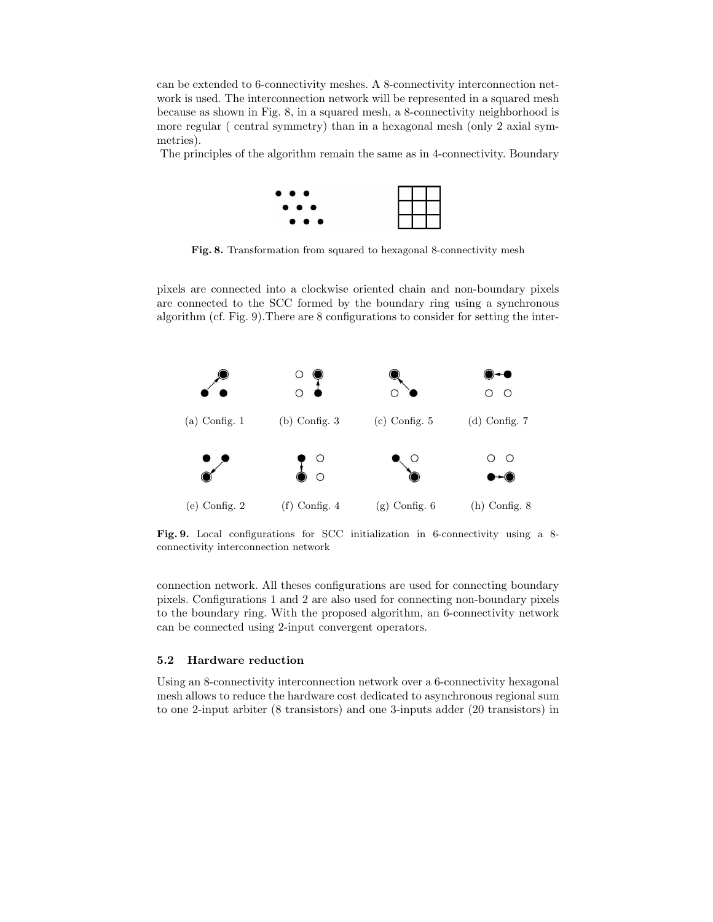can be extended to 6-connectivity meshes. A 8-connectivity interconnection network is used. The interconnection network will be represented in a squared mesh because as shown in Fig. 8, in a squared mesh, a 8-connectivity neighborhood is more regular ( central symmetry) than in a hexagonal mesh (only 2 axial symmetries).

The principles of the algorithm remain the same as in 4-connectivity. Boundary



Fig. 8. Transformation from squared to hexagonal 8-connectivity mesh

pixels are connected into a clockwise oriented chain and non-boundary pixels are connected to the SCC formed by the boundary ring using a synchronous algorithm (cf. Fig. 9).There are 8 configurations to consider for setting the inter-



Fig. 9. Local configurations for SCC initialization in 6-connectivity using a 8 connectivity interconnection network

connection network. All theses configurations are used for connecting boundary pixels. Configurations 1 and 2 are also used for connecting non-boundary pixels to the boundary ring. With the proposed algorithm, an 6-connectivity network can be connected using 2-input convergent operators.

#### 5.2 Hardware reduction

Using an 8-connectivity interconnection network over a 6-connectivity hexagonal mesh allows to reduce the hardware cost dedicated to asynchronous regional sum to one 2-input arbiter (8 transistors) and one 3-inputs adder (20 transistors) in